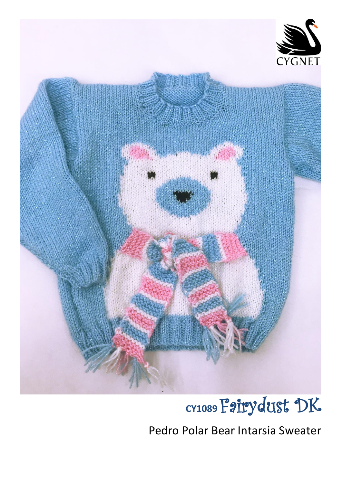

# **CY1089** Fairydust DK

Pedro Polar Bear Intarsia Sweater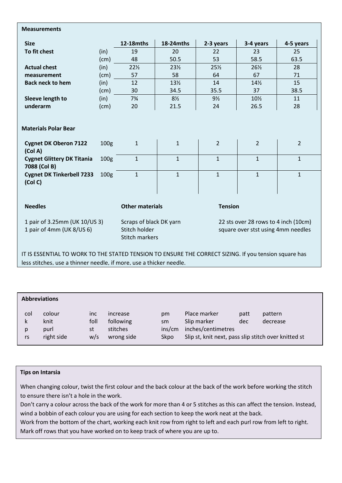#### **Measurements**

| <b>Size</b>                                                                                  |                                      | <b>12-18mths</b>                                                  | 18-24mths                    | 2-3 years                                                                  | 3-4 years                      | 4-5 years                      |
|----------------------------------------------------------------------------------------------|--------------------------------------|-------------------------------------------------------------------|------------------------------|----------------------------------------------------------------------------|--------------------------------|--------------------------------|
| To fit chest                                                                                 | (in)                                 | 19                                                                | 20                           | 22                                                                         | 23                             | 25                             |
|                                                                                              | (cm)                                 | 48                                                                | 50.5                         | 53                                                                         | 58.5                           | 63.5                           |
| <b>Actual chest</b>                                                                          | (in)                                 | $22\frac{1}{2}$                                                   | $23\frac{1}{2}$              | 25%                                                                        | $26\frac{1}{2}$                | 28                             |
| measurement                                                                                  | (cm)                                 | 57                                                                | 58                           | 64                                                                         | 67                             | 71                             |
| <b>Back neck to hem</b>                                                                      | (in)                                 | 12                                                                | $13\frac{1}{2}$              | 14                                                                         | 14%                            | 15                             |
|                                                                                              | (cm)                                 | 30                                                                | 34.5                         | 35.5                                                                       | 37                             | 38.5                           |
| Sleeve length to                                                                             | (in)                                 | $7\frac{3}{4}$                                                    | $8\frac{1}{2}$               | $9\frac{1}{2}$                                                             | $10\%$                         | 11                             |
| underarm                                                                                     | (cm)                                 | 20                                                                | 21.5                         | 24                                                                         | 26.5                           | 28                             |
| <b>Cygnet DK Oberon 7122</b><br>(Col A)<br><b>Cygnet Glittery DK Titania</b><br>7088 (Col B) | 100 <sub>g</sub><br>100 <sub>g</sub> | $\mathbf{1}$<br>$\mathbf{1}$                                      | $\mathbf{1}$<br>$\mathbf{1}$ | $\overline{2}$<br>$\mathbf{1}$                                             | $\overline{2}$<br>$\mathbf{1}$ | $\overline{2}$<br>$\mathbf{1}$ |
| <b>Cygnet DK Tinkerbell 7233</b><br>(Col C)                                                  | 100 <sub>g</sub>                     | $\mathbf{1}$                                                      | $\mathbf{1}$                 | $\mathbf{1}$                                                               | $\mathbf{1}$                   | $\mathbf{1}$                   |
| <b>Needles</b>                                                                               | <b>Other materials</b>               |                                                                   |                              | <b>Tension</b>                                                             |                                |                                |
| 1 pair of 3.25mm (UK 10/US 3)<br>1 pair of 4mm (UK 8/US 6)                                   |                                      | Scraps of black DK yarn<br>Stitch holder<br><b>Stitch markers</b> |                              | 22 sts over 28 rows to 4 inch (10cm)<br>square over stst using 4mm needles |                                |                                |

IT IS ESSENTIAL TO WORK TO THE STATED TENSION TO ENSURE THE CORRECT SIZING. If you tension square has less stitches, use a thinner needle, if more, use a thicker needle.

# **Abbreviations** col colour inc increase pm Place marker patt pattern k knit foll following sm Slip marker dec decrease p purl st stitches ins/cm inches/centimetres rs right side w/s wrong side Skpo Slip st, knit next, pass slip stitch over knitted st

#### **Tips on Intarsia**

When changing colour, twist the first colour and the back colour at the back of the work before working the stitch to ensure there isn't a hole in the work.

Don't carry a colour across the back of the work for more than 4 or 5 stitches as this can affect the tension. Instead, wind a bobbin of each colour you are using for each section to keep the work neat at the back.

Work from the bottom of the chart, working each knit row from right to left and each purl row from left to right. Mark off rows that you have worked on to keep track of where you are up to.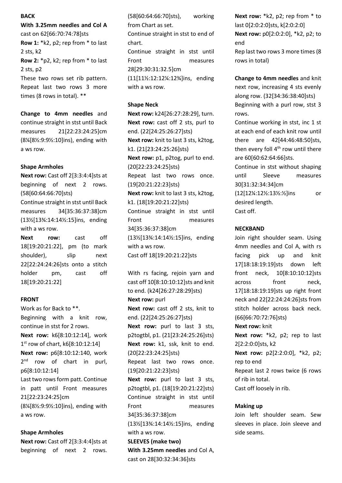### **BACK**

**With 3.25mm needles and Col A** cast on 62[66:70:74:78]sts **Row 1:** \*k2, p2; rep from \* to last 2 sts, k2 **Row 2:** \*p2, k2; rep from \* to last 2 sts, p2 These two rows set rib pattern. Repeat last two rows 3 more times (8 rows in total). \*\*

**Change to 4mm needles** and continue straight in stst until Back measures 21[22:23:24:25]cm (8¼[8½:9:9½:10]ins), ending with a ws row.

#### **Shape Armholes**

**Next row: Cast off 2[3:3:4:4]sts at** beginning of next 2 rows. (58[60:64:66:70]sts) Continue straight in stst until Back measures 34[35:36:37:38]cm (13½[13¾:14:14½:15]ins, ending with a ws row.

**Next row:** cast off 18[19:20:21:22], pm (to mark shoulder), slip next 22[22:24:24:26]sts onto a stitch holder pm, cast off 18[19:20:21:22]

#### **FRONT**

Work as for Back to \*\*. Beginning with a knit row, continue in stst for 2 rows. **Next row:** k6[8:10:12:14], work 1 st row of chart, k6[8:10:12:14] **Next row:** p6[8:10:12:140, work 2<sup>nd</sup> row of chart in purl, p6[8:10:12:14] Last two rows form patt. Continue in patt until Front measures 21[22:23:24:25]cm (8¼[8½:9:9½:10]ins), ending with a ws row.

#### **Shape Armholes**

**Next row:** Cast off 2[3:3:4:4]sts at beginning of next 2 rows.

(58[60:64:66:70]sts), working from Chart as set.

Continue straight in stst to end of chart. Continue straight in stst until

Front measures 28[29:30:31:32.5]cm (11[11½:12:12¼:12¾]ins, ending with a ws row.

#### **Shape Neck**

**Next row:** k24[26:27:28:29], turn. **Next row:** cast off 2 sts, purl to end. (22[24:25:26:27]sts) **Next row:** knit to last 3 sts, k2tog, k1. (21[23:24:25:26]sts) **Next row:** p1, p2tog, purl to end. (20[22:23:24:25]sts) Repeat last two rows once. (19[20:21:22:23]sts) **Next row:** knit to last 3 sts, k2tog, k1. (18[19:20:21:22]sts) Continue straight in stst until Front measures 34[35:36:37:38]cm (13½[13¾:14:14½:15]ins, ending with a ws row. Cast off 18[19:20:21:22]sts

With rs facing, rejoin yarn and cast off 10[8:10:10:12]sts and knit to end. (k24[26:27:28:29]sts) **Next row:** purl **Next row:** cast off 2 sts, knit to end. (22[24:25:26:27]sts) **Next row:** purl to last 3 sts, p2togtbl, p1. (21[23:24:25:26]sts) **Next row:** k1, ssk, knit to end. (20[22:23:24:25]sts) Repeat last two rows once. (19[20:21:22:23]sts) **Next row:** purl to last 3 sts, p2togtbl, p1. (18[19:20:21:22]sts) Continue straight in stst until Front measures 34[35:36:37:38]cm (13½[13¾:14:14½:15]ins, ending with a ws row. **SLEEVES (make two) With 3.25mm needles** and Col A, cast on 28[30:32:34:36]sts

**Next row:** \*k2, p2; rep from \* to last 0[2:0:2:0]sts, k[2:0:2:0] **Next row:** p0[2:0:2:0], \*k2, p2; to end Rep last two rows 3 more times (8

rows in total)

**Change to 4mm needles** and knit next row, increasing 4 sts evenly along row. (32[34:36:38:40]sts) Beginning with a purl row, stst 3 rows.

Continue working in stst, inc 1 st at each end of each knit row until there are 42[44:46:48:50]sts, then every foll  $4<sup>th</sup>$  row until there are 60[60:62:64:66]sts.

Continue in stst without shaping until Sleeve measures 30[31:32:34:34]cm (12[12¼:12½:13½:½]ins or desired length. Cast off.

## **NECKBAND**

Join right shoulder seam. Using 4mm needles and Col A, with rs facing pick up and knit 17[18:18:19:19]sts down left front neck, 10[8:10:10:12]sts across front neck, 17[18:18:19:19]sts up right front neck and 22[22:24:24:26]sts from stitch holder across back neck. (66[66:70:72:76]sts) **Next row:** knit **Next row:** \*k2, p2; rep to last 2[2:2:0:0]sts, k2 **Next row:** p2[2:2:0:0], \*k2, p2; rep to end Repeat last 2 rows twice (6 rows of rib in total. Cast off loosely in rib.

#### **Making up**

Join left shoulder seam. Sew sleeves in place. Join sleeve and side seams.